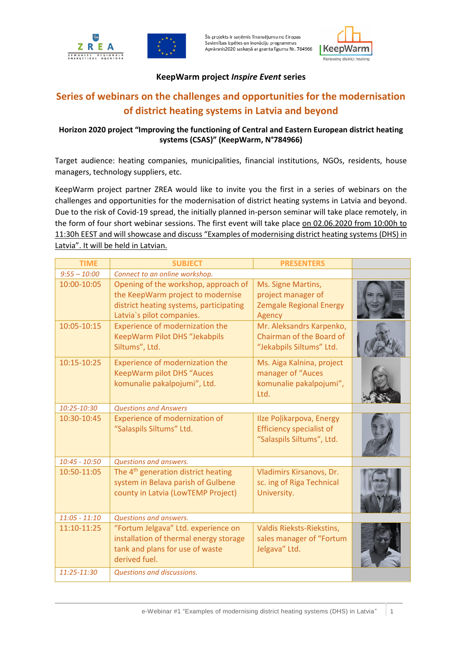



Šis projekts ir saņēmis finansējumu no Eiropas Savienības izpētes un inovāciju programmas<br>Apvārsnis2020 saskaņā ar granta līgumu Nr. 784966

| KeepWarm

## **KeepWarm project** *Inspire Event* **series**

## **Series of webinars on the challenges and opportunities for the modernisation of district heating systems in Latvia and beyond**

## **Horizon 2020 project "Improving the functioning of Central and Eastern European district heating systems (CSAS)" (KeepWarm, N°784966)**

Target audience: heating companies, municipalities, financial institutions, NGOs, residents, house managers, technology suppliers, etc.

KeepWarm project partner ZREA would like to invite you the first in a series of webinars on the challenges and opportunities for the modernisation of district heating systems in Latvia and beyond. Due to the risk of Covid-19 spread, the initially planned in-person seminar will take place remotely, in the form of four short webinar sessions. The first event will take place on 02.06.2020 from 10:00h to 11:30h EEST and will showcase and discuss "Examples of modernising district heating systems (DHS) in Latvia". It will be held in Latvian.

| <b>TIME</b>     | <b>SUBJECT</b>                                                                                                                                    | <b>PRESENTERS</b>                                                                        |  |
|-----------------|---------------------------------------------------------------------------------------------------------------------------------------------------|------------------------------------------------------------------------------------------|--|
| $9:55 - 10:00$  | Connect to an online workshop.                                                                                                                    |                                                                                          |  |
| 10:00-10:05     | Opening of the workshop, approach of<br>the KeepWarm project to modernise<br>district heating systems, participating<br>Latvia's pilot companies. | Ms. Signe Martins,<br>project manager of<br><b>Zemgale Regional Energy</b><br>Agency     |  |
| 10:05-10:15     | Experience of modernization the<br><b>KeepWarm Pilot DHS "Jekabpils</b><br>Siltums", Ltd.                                                         | Mr. Aleksandrs Karpenko,<br>Chairman of the Board of<br>"Jekabpils Siltums" Ltd.         |  |
| 10:15-10:25     | Experience of modernization the<br><b>KeepWarm pilot DHS "Auces</b><br>komunalie pakalpojumi", Ltd.                                               | Ms. Aiga Kalnina, project<br>manager of "Auces<br>komunalie pakalpojumi",<br>Ltd.        |  |
| 10:25-10:30     | <b>Questions and Answers</b>                                                                                                                      |                                                                                          |  |
| 10:30-10:45     | Experience of modernization of<br>"Salaspils Siltums" Ltd.                                                                                        | Ilze Polikarpova, Energy<br><b>Efficiency specialist of</b><br>"Salaspils Siltums", Ltd. |  |
| $10:45 - 10:50$ | <b>Questions and answers.</b>                                                                                                                     |                                                                                          |  |
| 10:50-11:05     | The 4 <sup>th</sup> generation district heating<br>system in Belava parish of Gulbene<br>county in Latvia (LowTEMP Project)                       | Vladimirs Kirsanovs, Dr.<br>sc. ing of Riga Technical<br>University.                     |  |
| $11:05 - 11:10$ | <b>Questions and answers.</b>                                                                                                                     |                                                                                          |  |
| 11:10-11:25     | "Fortum Jelgava" Ltd. experience on<br>installation of thermal energy storage<br>tank and plans for use of waste<br>derived fuel.                 | Valdis Rieksts-Riekstins,<br>sales manager of "Fortum<br>Jelgava" Ltd.                   |  |
| 11:25-11:30     | Questions and discussions.                                                                                                                        |                                                                                          |  |